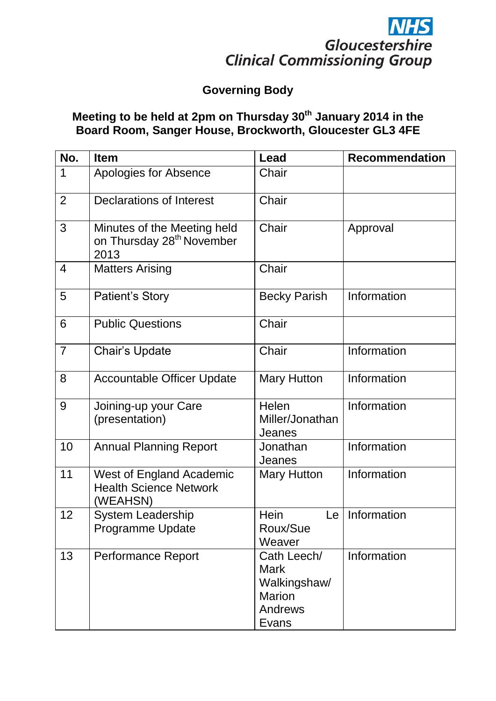

## **Governing Body**

## **Meeting to be held at 2pm on Thursday 30th January 2014 in the Board Room, Sanger House, Brockworth, Gloucester GL3 4FE**

| No.            | <b>Item</b>                                                                  | <b>Lead</b>                                                                     | <b>Recommendation</b> |
|----------------|------------------------------------------------------------------------------|---------------------------------------------------------------------------------|-----------------------|
| 1              | Apologies for Absence                                                        | Chair                                                                           |                       |
| $\overline{2}$ | <b>Declarations of Interest</b>                                              | Chair                                                                           |                       |
| 3              | Minutes of the Meeting held<br>on Thursday 28 <sup>th</sup> November<br>2013 | Chair                                                                           | Approval              |
| 4              | <b>Matters Arising</b>                                                       | Chair                                                                           |                       |
| 5              | <b>Patient's Story</b>                                                       | <b>Becky Parish</b>                                                             | Information           |
| 6              | <b>Public Questions</b>                                                      | Chair                                                                           |                       |
| $\overline{7}$ | Chair's Update                                                               | Chair                                                                           | Information           |
| 8              | <b>Accountable Officer Update</b>                                            | <b>Mary Hutton</b>                                                              | Information           |
| 9              | Joining-up your Care<br>(presentation)                                       | Helen<br>Miller/Jonathan<br>Jeanes                                              | Information           |
| 10             | <b>Annual Planning Report</b>                                                | Jonathan<br>Jeanes                                                              | Information           |
| 11             | <b>West of England Academic</b><br><b>Health Science Network</b><br>(WEAHSN) | <b>Mary Hutton</b>                                                              | Information           |
| 12             | <b>System Leadership</b><br>Programme Update                                 | Hein<br>Le<br>Roux/Sue<br>Weaver                                                | Information           |
| 13             | <b>Performance Report</b>                                                    | Cath Leech/<br><b>Mark</b><br>Walkingshaw/<br><b>Marion</b><br>Andrews<br>Evans | Information           |